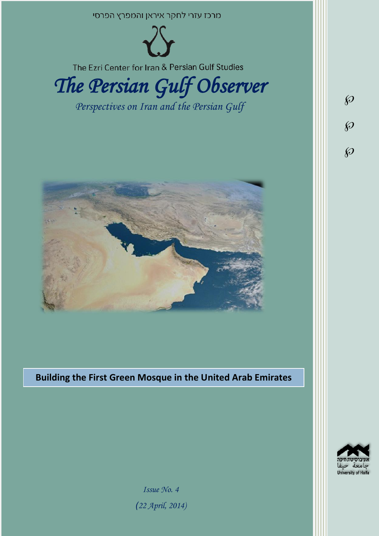

**Building the First Green Mosque in the United Arab Emirates**



*Issue No. 4 )22 April, 2014)*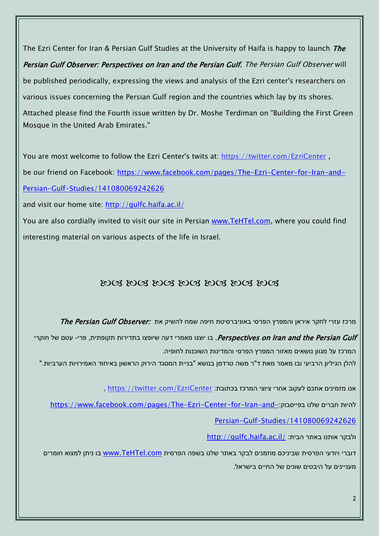The Ezri Center for Iran & Persian Gulf Studies at the University of Haifa is happy to launch *The* Persian Gulf Observer: Perspectives on Iran and the Persian Gulf. The Persian Gulf Observer will be published periodically, expressing the views and analysis of the Ezri center's researchers on various issues concerning the Persian Gulf region and the countries which lay by its shores. Attached please find the Fourth issue written by Dr. Moshe Terdiman on "Building the First Green Mosque in the United Arab Emirates."

You are most welcome to follow the Ezri Center's twits at: <https://twitter.com/EzriCenter>, be our friend on Facebook: [https://www.facebook.com/pages/The-Ezri-Center-for-Iran-and-](https://www.facebook.com/pages/The-Ezri-Center-for-Iran-and-Persian-Gulf-Studies/141080069242626)[Persian-Gulf-Studies/141080069242626](https://www.facebook.com/pages/The-Ezri-Center-for-Iran-and-Persian-Gulf-Studies/141080069242626)

and visit our home site:<http://gulfc.haifa.ac.il/>

You are also cordially invited to visit our site in Persian [www.TeHTel.com,](http://www.tehtel.com/) where you could find interesting material on various aspects of the life in Israel.

## DOG DOG DOG DOG DOG DOG DOG

מרכז עזרי לחקר איראן והמפרץ הפרסי באוניברסיטת חיפה שמח להשיק את :*The Persian Gulf Observer* 

Perspectives on Iran and the Persian Gulf בו יוצגו מאמרי דעה שיופצו בתדירות תקופתית, פרי- עטם של חוקרי, המרכז על מגוון נושאים מאזור המפרץ הפרסי והמדינות השוכנות לחופיה.

להלן הגיליון הרביעי ובו מאמר מאת ד"ר משה טרדמן בנושא "בניית המסגד הירוק הראשון באיחוד האמירויות הערביות."

אנו מזמינים אתכם לעקוב אחרי ציוצי המרכז בכתובת: [EzriCenter/com.twitter://https](https://twitter.com/EzriCenter) ,

[https://www.facebook.com/pages/The-Ezri-Center-for-Iran-and-](https://www.facebook.com/pages/The-Ezri-Center-for-Iran-and-Persian-Gulf-Studies/141080069242626):כהיות חברים שלנו בפייסבוק

[Persian-Gulf-Studies/141080069242626](https://www.facebook.com/pages/The-Ezri-Center-for-Iran-and-Persian-Gulf-Studies/141080069242626)

<http://gulfc.haifa.ac.il/> ולבקר אותנו באתר הבית:

דוברי ויודעי הפרסית שביניכם מוזמנים לבקר באתר שלנו בשפה הפרסית [com.TeHTel.www](http://www.tehtel.com/) בו ניתן למצוא חומרים מעניינים על היבטים שונים של החיים בישראל.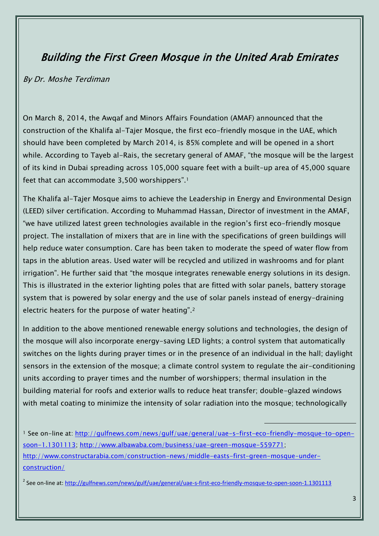## Building the First Green Mosque in the United Arab Emirates

## By Dr. Moshe Terdiman

On March 8, 2014, the Awqaf and Minors Affairs Foundation (AMAF) announced that the construction of the Khalifa al-Tajer Mosque, the first eco-friendly mosque in the UAE, which should have been completed by March 2014, is 85% complete and will be opened in a short while. According to Tayeb al-Rais, the secretary general of AMAF, "the mosque will be the largest of its kind in Dubai spreading across 105,000 square feet with a built-up area of 45,000 square feet that can accommodate 3,500 worshippers".<sup>1</sup>

The Khalifa al-Tajer Mosque aims to achieve the Leadership in Energy and Environmental Design (LEED) silver certification. According to Muhammad Hassan, Director of investment in the AMAF, "we have utilized latest green technologies available in the region's first eco-friendly mosque project. The installation of mixers that are in line with the specifications of green buildings will help reduce water consumption. Care has been taken to moderate the speed of water flow from taps in the ablution areas. Used water will be recycled and utilized in washrooms and for plant irrigation". He further said that "the mosque integrates renewable energy solutions in its design. This is illustrated in the exterior lighting poles that are fitted with solar panels, battery storage system that is powered by solar energy and the use of solar panels instead of energy-draining electric heaters for the purpose of water heating".<sup>2</sup>

In addition to the above mentioned renewable energy solutions and technologies, the design of the mosque will also incorporate energy-saving LED lights; a control system that automatically switches on the lights during prayer times or in the presence of an individual in the hall; daylight sensors in the extension of the mosque; a climate control system to regulate the air-conditioning units according to prayer times and the number of worshippers; thermal insulation in the building material for roofs and exterior walls to reduce heat transfer; double-glazed windows with metal coating to minimize the intensity of solar radiation into the mosque; technologically

<sup>1</sup> See on-line at: [http://gulfnews.com/news/gulf/uae/general/uae-s-first-eco-friendly-mosque-to-open](http://gulfnews.com/news/gulf/uae/general/uae-s-first-eco-friendly-mosque-to-open-soon-1.1301113)[soon-1.1301113;](http://gulfnews.com/news/gulf/uae/general/uae-s-first-eco-friendly-mosque-to-open-soon-1.1301113) [http://www.albawaba.com/business/uae-green-mosque-559771;](http://www.albawaba.com/business/uae-green-mosque-559771) [http://www.constructarabia.com/construction-news/middle-easts-first-green-mosque-under](http://www.constructarabia.com/construction-news/middle-easts-first-green-mosque-under-construction/)[construction/](http://www.constructarabia.com/construction-news/middle-easts-first-green-mosque-under-construction/)

 $\overline{a}$ 

<sup>2</sup> See on-line at: <u>http://gulfnews.com/news/gulf/uae/general/uae-s-first-eco-friendly-mosque-to-open-soon-1.1301113</u>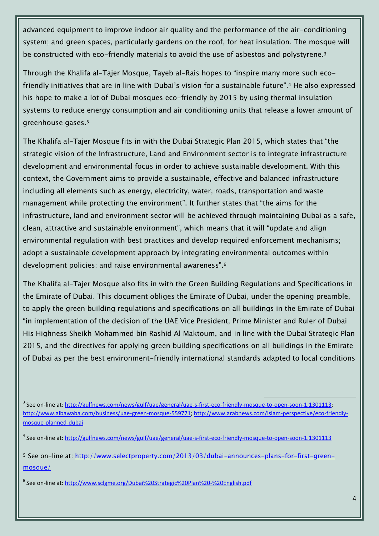advanced equipment to improve indoor air quality and the performance of the air-conditioning system; and green spaces, particularly gardens on the roof, for heat insulation. The mosque will be constructed with eco-friendly materials to avoid the use of asbestos and polystyrene.<sup>3</sup>

Through the Khalifa al-Tajer Mosque, Tayeb al-Rais hopes to "inspire many more such ecofriendly initiatives that are in line with Dubai's vision for a sustainable future".<sup>4</sup> He also expressed his hope to make a lot of Dubai mosques eco-friendly by 2015 by using thermal insulation systems to reduce energy consumption and air conditioning units that release a lower amount of greenhouse gases.<sup>5</sup>

The Khalifa al-Tajer Mosque fits in with the Dubai Strategic Plan 2015, which states that "the strategic vision of the Infrastructure, Land and Environment sector is to integrate infrastructure development and environmental focus in order to achieve sustainable development. With this context, the Government aims to provide a sustainable, effective and balanced infrastructure including all elements such as energy, electricity, water, roads, transportation and waste management while protecting the environment". It further states that "the aims for the infrastructure, land and environment sector will be achieved through maintaining Dubai as a safe, clean, attractive and sustainable environment", which means that it will "update and align environmental regulation with best practices and develop required enforcement mechanisms; adopt a sustainable development approach by integrating environmental outcomes within development policies; and raise environmental awareness".<sup>6</sup>

The Khalifa al-Tajer Mosque also fits in with the Green Building Regulations and Specifications in the Emirate of Dubai. This document obliges the Emirate of Dubai, under the opening preamble, to apply the green building regulations and specifications on all buildings in the Emirate of Dubai "in implementation of the decision of the UAE Vice President, Prime Minister and Ruler of Dubai His Highness Sheikh Mohammed bin Rashid Al Maktoum, and in line with the Dubai Strategic Plan 2015, and the directives for applying green building specifications on all buildings in the Emirate of Dubai as per the best environment-friendly international standards adapted to local conditions

 $\overline{a}$ 

<sup>&</sup>lt;sup>3</sup> See on-line at: [http://gulfnews.com/news/gulf/uae/general/uae-s-first-eco-friendly-mosque-to-open-soon-1.1301113;](http://gulfnews.com/news/gulf/uae/general/uae-s-first-eco-friendly-mosque-to-open-soon-1.1301113) [http://www.albawaba.com/business/uae-green-mosque-559771;](http://www.albawaba.com/business/uae-green-mosque-559771) [http://www.arabnews.com/islam-perspective/eco-friendly](http://www.arabnews.com/islam-perspective/eco-friendly-mosque-planned-dubai)[mosque-planned-dubai](http://www.arabnews.com/islam-perspective/eco-friendly-mosque-planned-dubai)

<sup>&</sup>lt;sup>4</sup> See on-line at: <u>http://gulfnews.com/news/gulf/uae/general/uae-s-first-eco-friendly-mosque-to-open-soon-1.1301113</u>

<sup>5</sup> See on-line at: [http://www.selectproperty.com/2013/03/dubai-announces-plans-for-first-green](http://www.selectproperty.com/2013/03/dubai-announces-plans-for-first-green-mosque/)[mosque/](http://www.selectproperty.com/2013/03/dubai-announces-plans-for-first-green-mosque/)

<sup>&</sup>lt;sup>6</sup> See on-line at: <u>http://www.sclgme.org/Dubai%20Strategic%20Plan%20-%20English.pdf</u>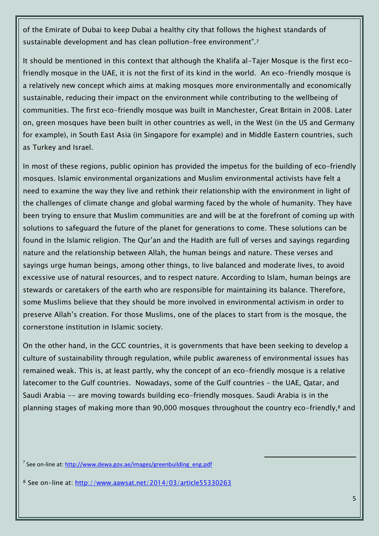of the Emirate of Dubai to keep Dubai a healthy city that follows the highest standards of sustainable development and has clean pollution-free environment".<sup>7</sup>

It should be mentioned in this context that although the Khalifa al-Tajer Mosque is the first ecofriendly mosque in the UAE, it is not the first of its kind in the world. An eco-friendly mosque is a relatively new concept which aims at making mosques more environmentally and economically sustainable, reducing their impact on the environment while contributing to the wellbeing of communities. The first eco-friendly mosque was built in Manchester, Great Britain in 2008. Later on, green mosques have been built in other countries as well, in the West (in the US and Germany for example), in South East Asia (in Singapore for example) and in Middle Eastern countries, such as Turkey and Israel.

In most of these regions, public opinion has provided the impetus for the building of eco-friendly mosques. Islamic environmental organizations and Muslim environmental activists have felt a need to examine the way they live and rethink their relationship with the environment in light of the challenges of climate change and global warming faced by the whole of humanity. They have been trying to ensure that Muslim communities are and will be at the forefront of coming up with solutions to safeguard the future of the planet for generations to come. These solutions can be found in the Islamic religion. The Qur'an and the Hadith are full of verses and sayings regarding nature and the relationship between Allah, the human beings and nature. These verses and sayings urge human beings, among other things, to live balanced and moderate lives, to avoid excessive use of natural resources, and to respect nature. According to Islam, human beings are stewards or caretakers of the earth who are responsible for maintaining its balance. Therefore, some Muslims believe that they should be more involved in environmental activism in order to preserve Allah's creation. For those Muslims, one of the places to start from is the mosque, the cornerstone institution in Islamic society.

On the other hand, in the GCC countries, it is governments that have been seeking to develop a culture of sustainability through regulation, while public awareness of environmental issues has remained weak. This is, at least partly, why the concept of an eco-friendly mosque is a relative latecomer to the Gulf countries. Nowadays, some of the Gulf countries – the UAE, Qatar, and Saudi Arabia -- are moving towards building eco-friendly mosques. Saudi Arabia is in the planning stages of making more than 90,000 mosques throughout the country eco-friendly,<sup>8</sup> and

 $\overline{a}$ 

<sup>7</sup> See on-line at: [http://www.dewa.gov.ae/images/greenbuilding\\_eng.pdf](http://www.dewa.gov.ae/images/greenbuilding_eng.pdf)

<sup>8</sup> See on-line at: <http://www.aawsat.net/2014/03/article55330263>